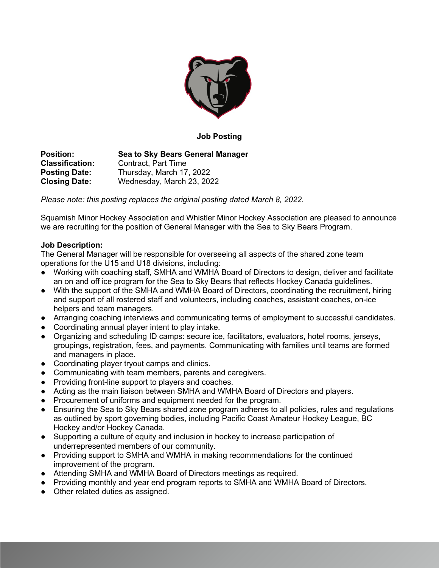

### **Job Posting**

**Position: Sea to Sky Bears General Manager Classification:** Contract, Part Time **Posting Date:** Thursday, March 17, 2022 **Closing Date:** Wednesday, March 23, 2022

*Please note: this posting replaces the original posting dated March 8, 2022.* 

Squamish Minor Hockey Association and Whistler Minor Hockey Association are pleased to announce we are recruiting for the position of General Manager with the Sea to Sky Bears Program.

## **Job Description:**

The General Manager will be responsible for overseeing all aspects of the shared zone team operations for the U15 and U18 divisions, including:

- Working with coaching staff, SMHA and WMHA Board of Directors to design, deliver and facilitate an on and off ice program for the Sea to Sky Bears that reflects Hockey Canada guidelines.
- With the support of the SMHA and WMHA Board of Directors, coordinating the recruitment, hiring and support of all rostered staff and volunteers, including coaches, assistant coaches, on-ice helpers and team managers.
- Arranging coaching interviews and communicating terms of employment to successful candidates.
- Coordinating annual player intent to play intake.
- Organizing and scheduling ID camps: secure ice, facilitators, evaluators, hotel rooms, jerseys, groupings, registration, fees, and payments. Communicating with families until teams are formed and managers in place.
- Coordinating player tryout camps and clinics.
- Communicating with team members, parents and caregivers.
- Providing front-line support to players and coaches.
- Acting as the main liaison between SMHA and WMHA Board of Directors and players.
- Procurement of uniforms and equipment needed for the program.
- Ensuring the Sea to Sky Bears shared zone program adheres to all policies, rules and regulations as outlined by sport governing bodies, including Pacific Coast Amateur Hockey League, BC Hockey and/or Hockey Canada.
- Supporting a culture of equity and inclusion in hockey to increase participation of underrepresented members of our community.
- Providing support to SMHA and WMHA in making recommendations for the continued improvement of the program.
- Attending SMHA and WMHA Board of Directors meetings as required.
- Providing monthly and year end program reports to SMHA and WMHA Board of Directors.
- Other related duties as assigned.